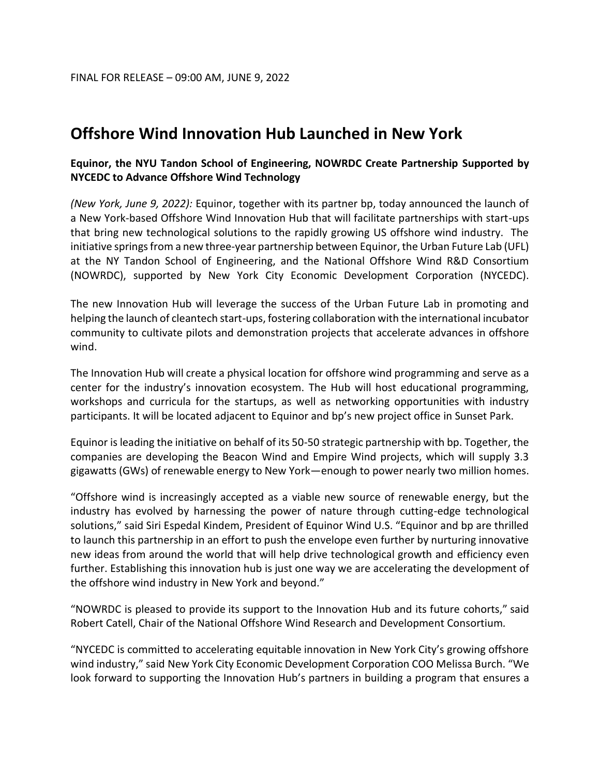# **Offshore Wind Innovation Hub Launched in New York**

## **Equinor, the NYU Tandon School of Engineering, NOWRDC Create Partnership Supported by NYCEDC to Advance Offshore Wind Technology**

*(New York, June 9, 2022):* Equinor, together with its partner bp, today announced the launch of a New York-based Offshore Wind Innovation Hub that will facilitate partnerships with start-ups that bring new technological solutions to the rapidly growing US offshore wind industry. The initiative springs from a new three-year partnership between Equinor, the Urban Future Lab (UFL) at the NY Tandon School of Engineering, and the National Offshore Wind R&D Consortium (NOWRDC), supported by New York City Economic Development Corporation (NYCEDC).

The new Innovation Hub will leverage the success of the Urban Future Lab in promoting and helping the launch of cleantech start-ups, fostering collaboration with the international incubator community to cultivate pilots and demonstration projects that accelerate advances in offshore wind.

The Innovation Hub will create a physical location for offshore wind programming and serve as a center for the industry's innovation ecosystem. The Hub will host educational programming, workshops and curricula for the startups, as well as networking opportunities with industry participants. It will be located adjacent to Equinor and bp's new project office in Sunset Park.

Equinor is leading the initiative on behalf of its 50-50 strategic partnership with bp. Together, the companies are developing the Beacon Wind and Empire Wind projects, which will supply 3.3 gigawatts (GWs) of renewable energy to New York—enough to power nearly two million homes.

"Offshore wind is increasingly accepted as a viable new source of renewable energy, but the industry has evolved by harnessing the power of nature through cutting-edge technological solutions," said Siri Espedal Kindem, President of Equinor Wind U.S. "Equinor and bp are thrilled to launch this partnership in an effort to push the envelope even further by nurturing innovative new ideas from around the world that will help drive technological growth and efficiency even further. Establishing this innovation hub is just one way we are accelerating the development of the offshore wind industry in New York and beyond."

"NOWRDC is pleased to provide its support to the Innovation Hub and its future cohorts," said Robert Catell, Chair of the National Offshore Wind Research and Development Consortium*.*

"NYCEDC is committed to accelerating equitable innovation in New York City's growing offshore wind industry," said New York City Economic Development Corporation COO Melissa Burch. "We look forward to supporting the Innovation Hub's partners in building a program that ensures a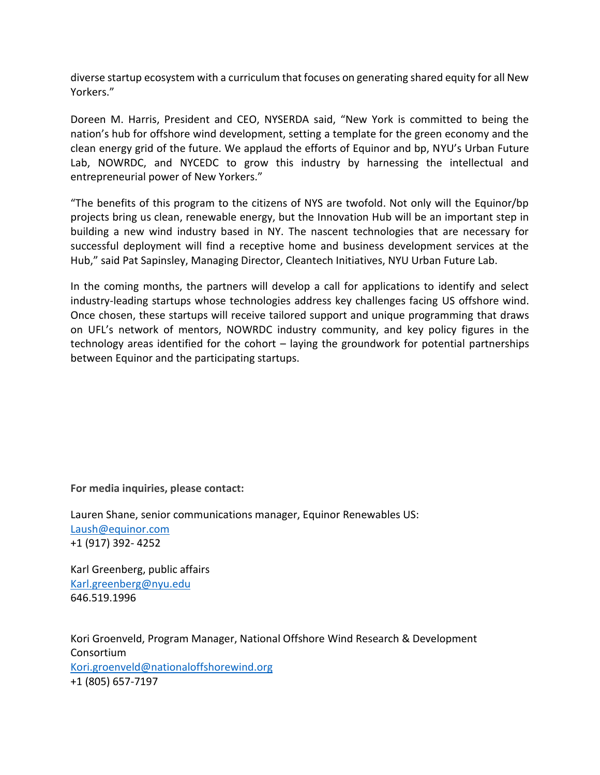diverse startup ecosystem with a curriculum that focuses on generating shared equity for all New Yorkers."

Doreen M. Harris, President and CEO, NYSERDA said, "New York is committed to being the nation's hub for offshore wind development, setting a template for the green economy and the clean energy grid of the future. We applaud the efforts of Equinor and bp, NYU's Urban Future Lab, NOWRDC, and NYCEDC to grow this industry by harnessing the intellectual and entrepreneurial power of New Yorkers."

"The benefits of this program to the citizens of NYS are twofold. Not only will the Equinor/bp projects bring us clean, renewable energy, but the Innovation Hub will be an important step in building a new wind industry based in NY. The nascent technologies that are necessary for successful deployment will find a receptive home and business development services at the Hub," said Pat Sapinsley, Managing Director, Cleantech Initiatives, NYU Urban Future Lab.

In the coming months, the partners will develop a call for applications to identify and select industry-leading startups whose technologies address key challenges facing US offshore wind. Once chosen, these startups will receive tailored support and unique programming that draws on UFL's network of mentors, NOWRDC industry community, and key policy figures in the technology areas identified for the cohort – laying the groundwork for potential partnerships between Equinor and the participating startups.

**For media inquiries, please contact:**

Lauren Shane, senior communications manager, Equinor Renewables US: [Laush@equinor.com](mailto:Laush@equinor.com) +1 (917) 392- 4252

Karl Greenberg, public affairs [Karl.greenberg@nyu.edu](mailto:Karl.greenberg@nyu.edu) 646.519.1996

Kori Groenveld, Program Manager, National Offshore Wind Research & Development Consortium [Kori.groenveld@nationaloffshorewind.org](mailto:Kori.groenveld@nationaloffshorewind.org) +1 (805) 657-7197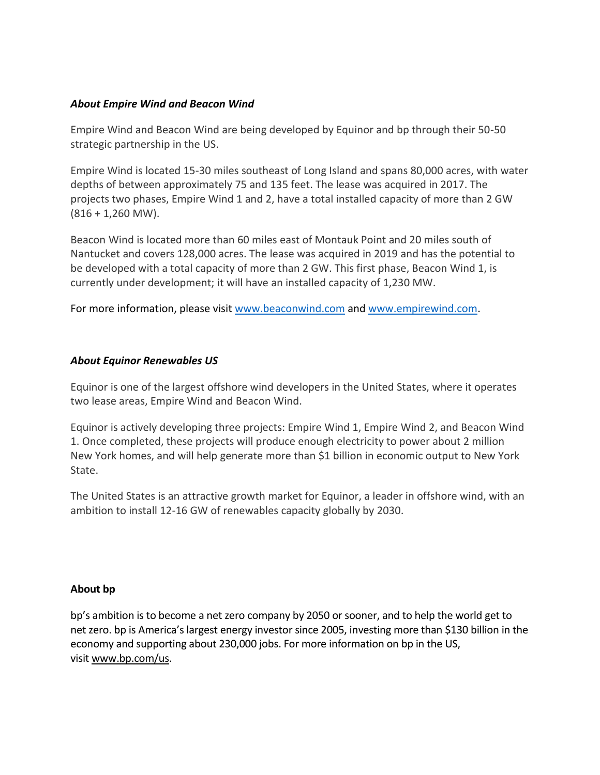## *About Empire Wind and Beacon Wind*

Empire Wind and Beacon Wind are being developed by Equinor and bp through their 50-50 strategic partnership in the US.

Empire Wind is located 15-30 miles southeast of Long Island and spans 80,000 acres, with water depths of between approximately 75 and 135 feet. The lease was acquired in 2017. The projects two phases, Empire Wind 1 and 2, have a total installed capacity of more than 2 GW  $(816 + 1,260 \text{ MW})$ .

Beacon Wind is located more than 60 miles east of Montauk Point and 20 miles south of Nantucket and covers 128,000 acres. The lease was acquired in 2019 and has the potential to be developed with a total capacity of more than 2 GW. This first phase, Beacon Wind 1, is currently under development; it will have an installed capacity of 1,230 MW.

For more information, please visi[t www.beaconwind.com](http://www.beaconwind.com/) and [www.empirewind.com.](http://www.empirewind.com/)

## *About Equinor Renewables US*

Equinor is one of the largest offshore wind developers in the United States, where it operates two lease areas, Empire Wind and Beacon Wind.

Equinor is actively developing three projects: Empire Wind 1, Empire Wind 2, and Beacon Wind 1. Once completed, these projects will produce enough electricity to power about 2 million New York homes, and will help generate more than \$1 billion in economic output to New York State.

The United States is an attractive growth market for Equinor, a leader in offshore wind, with an ambition to install 12-16 GW of renewables capacity globally by 2030.

#### **About bp**

bp's ambition is to become a net zero company by 2050 or sooner, and to help the world get to net zero. bp is America's largest energy investor since 2005, investing more than \$130 billion in the economy and supporting about 230,000 jobs. For more information on bp in the US, visit [www.bp.com/us.](https://eur03.safelinks.protection.outlook.com/?url=http%3A%2F%2Fwww.bp.com%2Fus&data=05%7C01%7Claush%40equinor.com%7C45898a2915f74dc36a6c08da489924d9%7C3aa4a235b6e248d591957fcf05b459b0%7C0%7C0%7C637902119839365321%7CUnknown%7CTWFpbGZsb3d8eyJWIjoiMC4wLjAwMDAiLCJQIjoiV2luMzIiLCJBTiI6Ik1haWwiLCJXVCI6Mn0%3D%7C3000%7C%7C%7C&sdata=DpZlZGVmlEXiXdfXnbOb%2BUy8RJbpYCSsNfNEtp%2FRFdc%3D&reserved=0)